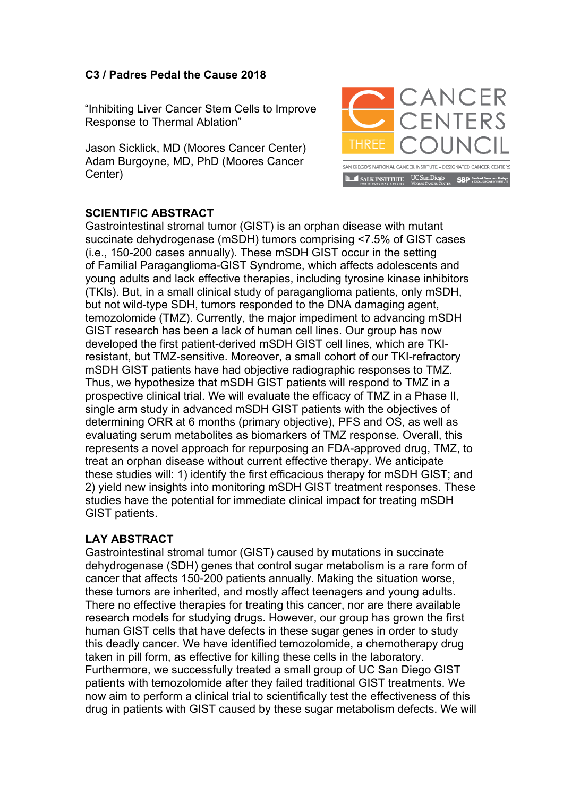## **C3 / Padres Pedal the Cause 2018**

"Inhibiting Liver Cancer Stem Cells to Improve Response to Thermal Ablation"

Jason Sicklick, MD (Moores Cancer Center) Adam Burgoyne, MD, PhD (Moores Cancer Center)



## **SCIENTIFIC ABSTRACT**

Gastrointestinal stromal tumor (GIST) is an orphan disease with mutant succinate dehydrogenase (mSDH) tumors comprising <7.5% of GIST cases (i.e., 150-200 cases annually). These mSDH GIST occur in the setting of Familial Paraganglioma-GIST Syndrome, which affects adolescents and young adults and lack effective therapies, including tyrosine kinase inhibitors (TKIs). But, in a small clinical study of paraganglioma patients, only mSDH, but not wild-type SDH, tumors responded to the DNA damaging agent, temozolomide (TMZ). Currently, the major impediment to advancing mSDH GIST research has been a lack of human cell lines. Our group has now developed the first patient-derived mSDH GIST cell lines, which are TKIresistant, but TMZ-sensitive. Moreover, a small cohort of our TKI-refractory mSDH GIST patients have had objective radiographic responses to TMZ. Thus, we hypothesize that mSDH GIST patients will respond to TMZ in a prospective clinical trial. We will evaluate the efficacy of TMZ in a Phase II, single arm study in advanced mSDH GIST patients with the objectives of determining ORR at 6 months (primary objective), PFS and OS, as well as evaluating serum metabolites as biomarkers of TMZ response. Overall, this represents a novel approach for repurposing an FDA-approved drug, TMZ, to treat an orphan disease without current effective therapy. We anticipate these studies will: 1) identify the first efficacious therapy for mSDH GIST; and 2) yield new insights into monitoring mSDH GIST treatment responses. These studies have the potential for immediate clinical impact for treating mSDH GIST patients.

## **LAY ABSTRACT**

Gastrointestinal stromal tumor (GIST) caused by mutations in succinate dehydrogenase (SDH) genes that control sugar metabolism is a rare form of cancer that affects 150-200 patients annually. Making the situation worse, these tumors are inherited, and mostly affect teenagers and young adults. There no effective therapies for treating this cancer, nor are there available research models for studying drugs. However, our group has grown the first human GIST cells that have defects in these sugar genes in order to study this deadly cancer. We have identified temozolomide, a chemotherapy drug taken in pill form, as effective for killing these cells in the laboratory. Furthermore, we successfully treated a small group of UC San Diego GIST patients with temozolomide after they failed traditional GIST treatments. We now aim to perform a clinical trial to scientifically test the effectiveness of this drug in patients with GIST caused by these sugar metabolism defects. We will